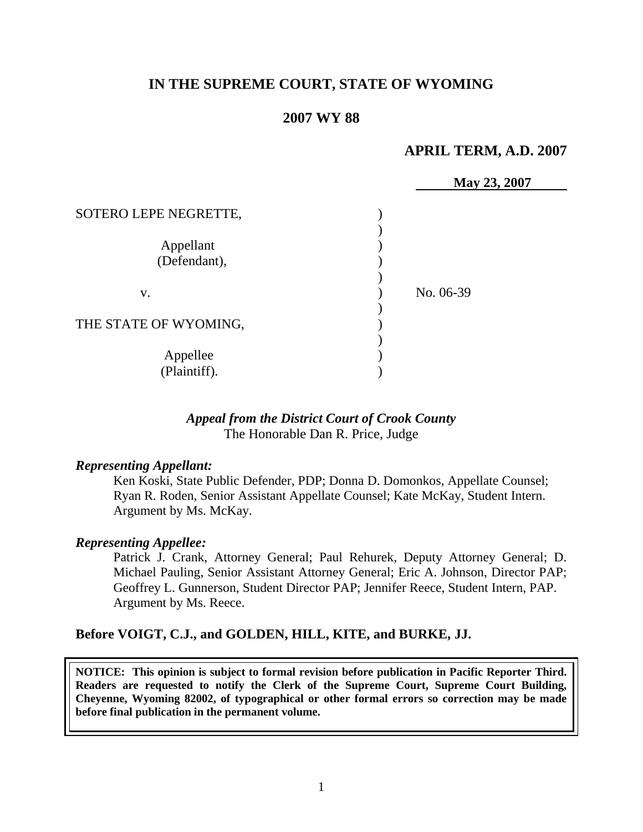# **IN THE SUPREME COURT, STATE OF WYOMING**

## **2007 WY 88**

### **APRIL TERM, A.D. 2007**

|                           |           | May 23, 2007 |
|---------------------------|-----------|--------------|
| SOTERO LEPE NEGRETTE,     |           |              |
| Appellant<br>(Defendant), |           |              |
| V.                        | No. 06-39 |              |
| THE STATE OF WYOMING,     |           |              |
| Appellee<br>(Plaintiff).  |           |              |

### *Appeal from the District Court of Crook County* The Honorable Dan R. Price, Judge

#### *Representing Appellant:*

Ken Koski, State Public Defender, PDP; Donna D. Domonkos, Appellate Counsel; Ryan R. Roden, Senior Assistant Appellate Counsel; Kate McKay, Student Intern. Argument by Ms. McKay.

#### *Representing Appellee:*

Patrick J. Crank, Attorney General; Paul Rehurek, Deputy Attorney General; D. Michael Pauling, Senior Assistant Attorney General; Eric A. Johnson, Director PAP; Geoffrey L. Gunnerson, Student Director PAP; Jennifer Reece, Student Intern, PAP. Argument by Ms. Reece.

#### **Before VOIGT, C.J., and GOLDEN, HILL, KITE, and BURKE, JJ.**

**NOTICE: This opinion is subject to formal revision before publication in Pacific Reporter Third. Readers are requested to notify the Clerk of the Supreme Court, Supreme Court Building, Cheyenne, Wyoming 82002, of typographical or other formal errors so correction may be made before final publication in the permanent volume.**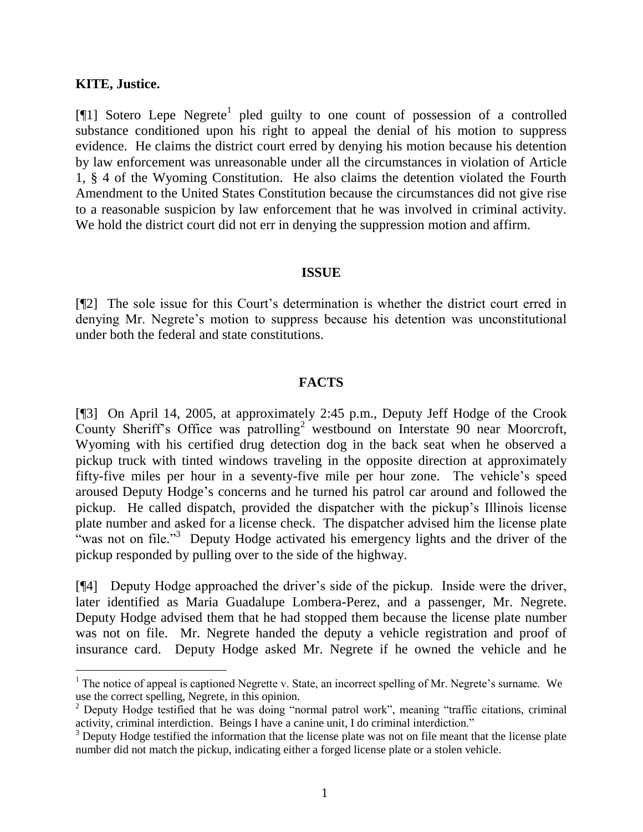#### **KITE, Justice.**

 $\overline{a}$ 

[ $[1]$ ] Sotero Lepe Negrete<sup>1</sup> pled guilty to one count of possession of a controlled substance conditioned upon his right to appeal the denial of his motion to suppress evidence. He claims the district court erred by denying his motion because his detention by law enforcement was unreasonable under all the circumstances in violation of Article 1, § 4 of the Wyoming Constitution. He also claims the detention violated the Fourth Amendment to the United States Constitution because the circumstances did not give rise to a reasonable suspicion by law enforcement that he was involved in criminal activity. We hold the district court did not err in denying the suppression motion and affirm.

#### **ISSUE**

[¶2] The sole issue for this Court's determination is whether the district court erred in denying Mr. Negrete's motion to suppress because his detention was unconstitutional under both the federal and state constitutions.

### **FACTS**

[¶3] On April 14, 2005, at approximately 2:45 p.m., Deputy Jeff Hodge of the Crook County Sheriff's Office was patrolling<sup>2</sup> westbound on Interstate 90 near Moorcroft, Wyoming with his certified drug detection dog in the back seat when he observed a pickup truck with tinted windows traveling in the opposite direction at approximately fifty-five miles per hour in a seventy-five mile per hour zone. The vehicle's speed aroused Deputy Hodge's concerns and he turned his patrol car around and followed the pickup. He called dispatch, provided the dispatcher with the pickup's Illinois license plate number and asked for a license check. The dispatcher advised him the license plate "was not on file."<sup>3</sup> Deputy Hodge activated his emergency lights and the driver of the pickup responded by pulling over to the side of the highway.

[¶4] Deputy Hodge approached the driver's side of the pickup. Inside were the driver, later identified as Maria Guadalupe Lombera-Perez, and a passenger, Mr. Negrete. Deputy Hodge advised them that he had stopped them because the license plate number was not on file. Mr. Negrete handed the deputy a vehicle registration and proof of insurance card. Deputy Hodge asked Mr. Negrete if he owned the vehicle and he

 $1$  The notice of appeal is captioned Negrette v. State, an incorrect spelling of Mr. Negrete's surname. We use the correct spelling, Negrete, in this opinion.

<sup>&</sup>lt;sup>2</sup> Deputy Hodge testified that he was doing "normal patrol work", meaning "traffic citations, criminal activity, criminal interdiction. Beings I have a canine unit, I do criminal interdiction."

<sup>&</sup>lt;sup>3</sup> Deputy Hodge testified the information that the license plate was not on file meant that the license plate number did not match the pickup, indicating either a forged license plate or a stolen vehicle.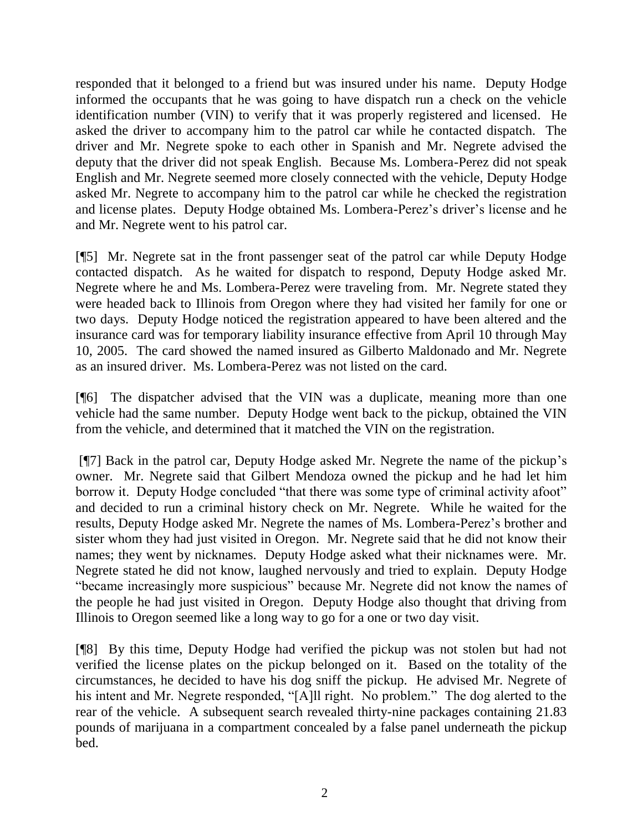responded that it belonged to a friend but was insured under his name. Deputy Hodge informed the occupants that he was going to have dispatch run a check on the vehicle identification number (VIN) to verify that it was properly registered and licensed. He asked the driver to accompany him to the patrol car while he contacted dispatch. The driver and Mr. Negrete spoke to each other in Spanish and Mr. Negrete advised the deputy that the driver did not speak English. Because Ms. Lombera-Perez did not speak English and Mr. Negrete seemed more closely connected with the vehicle, Deputy Hodge asked Mr. Negrete to accompany him to the patrol car while he checked the registration and license plates. Deputy Hodge obtained Ms. Lombera-Perez's driver's license and he and Mr. Negrete went to his patrol car.

[¶5] Mr. Negrete sat in the front passenger seat of the patrol car while Deputy Hodge contacted dispatch. As he waited for dispatch to respond, Deputy Hodge asked Mr. Negrete where he and Ms. Lombera-Perez were traveling from. Mr. Negrete stated they were headed back to Illinois from Oregon where they had visited her family for one or two days. Deputy Hodge noticed the registration appeared to have been altered and the insurance card was for temporary liability insurance effective from April 10 through May 10, 2005. The card showed the named insured as Gilberto Maldonado and Mr. Negrete as an insured driver. Ms. Lombera-Perez was not listed on the card.

[¶6] The dispatcher advised that the VIN was a duplicate, meaning more than one vehicle had the same number. Deputy Hodge went back to the pickup, obtained the VIN from the vehicle, and determined that it matched the VIN on the registration.

[¶7] Back in the patrol car, Deputy Hodge asked Mr. Negrete the name of the pickup's owner. Mr. Negrete said that Gilbert Mendoza owned the pickup and he had let him borrow it. Deputy Hodge concluded "that there was some type of criminal activity afoot" and decided to run a criminal history check on Mr. Negrete. While he waited for the results, Deputy Hodge asked Mr. Negrete the names of Ms. Lombera-Perez's brother and sister whom they had just visited in Oregon. Mr. Negrete said that he did not know their names; they went by nicknames. Deputy Hodge asked what their nicknames were. Mr. Negrete stated he did not know, laughed nervously and tried to explain. Deputy Hodge "became increasingly more suspicious" because Mr. Negrete did not know the names of the people he had just visited in Oregon. Deputy Hodge also thought that driving from Illinois to Oregon seemed like a long way to go for a one or two day visit.

[¶8] By this time, Deputy Hodge had verified the pickup was not stolen but had not verified the license plates on the pickup belonged on it. Based on the totality of the circumstances, he decided to have his dog sniff the pickup. He advised Mr. Negrete of his intent and Mr. Negrete responded, "[A]ll right. No problem." The dog alerted to the rear of the vehicle. A subsequent search revealed thirty-nine packages containing 21.83 pounds of marijuana in a compartment concealed by a false panel underneath the pickup bed.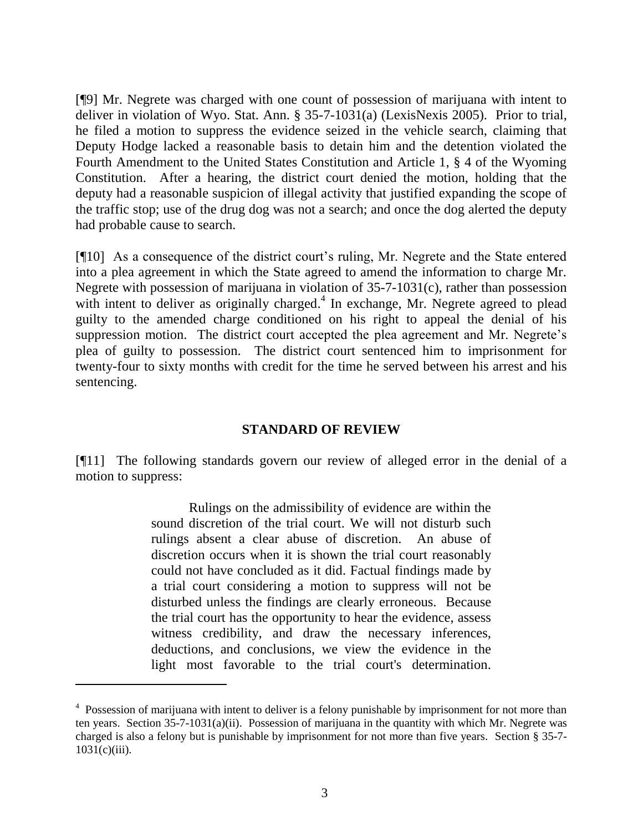[¶9] Mr. Negrete was charged with one count of possession of marijuana with intent to deliver in violation of Wyo. Stat. Ann. § 35-7-1031(a) (LexisNexis 2005). Prior to trial, he filed a motion to suppress the evidence seized in the vehicle search, claiming that Deputy Hodge lacked a reasonable basis to detain him and the detention violated the Fourth Amendment to the United States Constitution and Article 1, § 4 of the Wyoming Constitution. After a hearing, the district court denied the motion, holding that the deputy had a reasonable suspicion of illegal activity that justified expanding the scope of the traffic stop; use of the drug dog was not a search; and once the dog alerted the deputy had probable cause to search.

[¶10] As a consequence of the district court's ruling, Mr. Negrete and the State entered into a plea agreement in which the State agreed to amend the information to charge Mr. Negrete with possession of marijuana in violation of 35-7-1031(c), rather than possession with intent to deliver as originally charged.<sup>4</sup> In exchange, Mr. Negrete agreed to plead guilty to the amended charge conditioned on his right to appeal the denial of his suppression motion. The district court accepted the plea agreement and Mr. Negrete's plea of guilty to possession. The district court sentenced him to imprisonment for twenty-four to sixty months with credit for the time he served between his arrest and his sentencing.

### **STANDARD OF REVIEW**

[¶11] The following standards govern our review of alleged error in the denial of a motion to suppress:

> Rulings on the admissibility of evidence are within the sound discretion of the trial court. We will not disturb such rulings absent a clear abuse of discretion. An abuse of discretion occurs when it is shown the trial court reasonably could not have concluded as it did. Factual findings made by a trial court considering a motion to suppress will not be disturbed unless the findings are clearly erroneous. Because the trial court has the opportunity to hear the evidence, assess witness credibility, and draw the necessary inferences, deductions, and conclusions, we view the evidence in the light most favorable to the trial court's determination.

<sup>&</sup>lt;sup>4</sup> Possession of marijuana with intent to deliver is a felony punishable by imprisonment for not more than ten years. Section 35-7-1031(a)(ii). Possession of marijuana in the quantity with which Mr. Negrete was charged is also a felony but is punishable by imprisonment for not more than five years. Section § 35-7-  $1031(c)(iii)$ .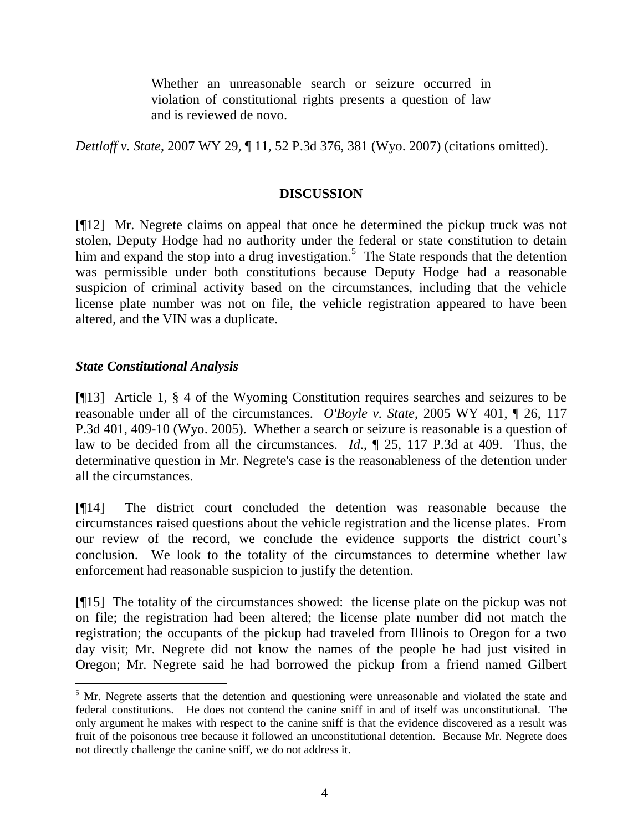Whether an unreasonable search or seizure occurred in violation of constitutional rights presents a question of law and is reviewed de novo.

*Dettloff v. State*, 2007 WY 29, ¶ 11, 52 P.3d 376, 381 (Wyo. 2007) (citations omitted).

# **DISCUSSION**

[¶12] Mr. Negrete claims on appeal that once he determined the pickup truck was not stolen, Deputy Hodge had no authority under the federal or state constitution to detain him and expand the stop into a drug investigation.<sup>5</sup> The State responds that the detention was permissible under both constitutions because Deputy Hodge had a reasonable suspicion of criminal activity based on the circumstances, including that the vehicle license plate number was not on file, the vehicle registration appeared to have been altered, and the VIN was a duplicate.

## *State Constitutional Analysis*

[¶13] Article 1, § 4 of the Wyoming Constitution requires searches and seizures to be reasonable under all of the circumstances. *O'Boyle v. State*, 2005 WY 401, ¶ 26, 117 P.3d 401, 409-10 (Wyo. 2005). Whether a search or seizure is reasonable is a question of law to be decided from all the circumstances. *Id*., ¶ 25, 117 P.3d at 409. Thus, the determinative question in Mr. Negrete's case is the reasonableness of the detention under all the circumstances.

[¶14] The district court concluded the detention was reasonable because the circumstances raised questions about the vehicle registration and the license plates. From our review of the record, we conclude the evidence supports the district court's conclusion. We look to the totality of the circumstances to determine whether law enforcement had reasonable suspicion to justify the detention.

[¶15] The totality of the circumstances showed: the license plate on the pickup was not on file; the registration had been altered; the license plate number did not match the registration; the occupants of the pickup had traveled from Illinois to Oregon for a two day visit; Mr. Negrete did not know the names of the people he had just visited in Oregon; Mr. Negrete said he had borrowed the pickup from a friend named Gilbert

<sup>&</sup>lt;sup>5</sup> Mr. Negrete asserts that the detention and questioning were unreasonable and violated the state and federal constitutions. He does not contend the canine sniff in and of itself was unconstitutional. The only argument he makes with respect to the canine sniff is that the evidence discovered as a result was fruit of the poisonous tree because it followed an unconstitutional detention. Because Mr. Negrete does not directly challenge the canine sniff, we do not address it.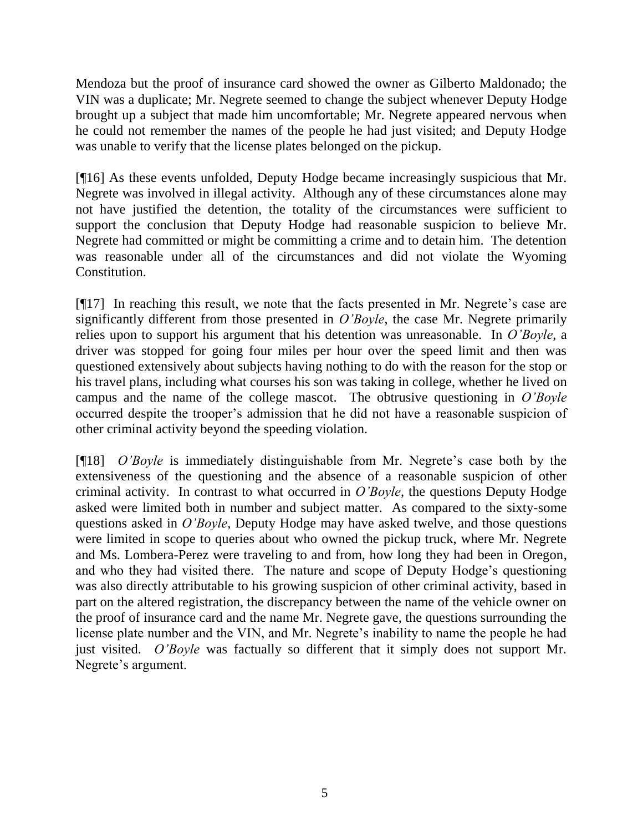Mendoza but the proof of insurance card showed the owner as Gilberto Maldonado; the VIN was a duplicate; Mr. Negrete seemed to change the subject whenever Deputy Hodge brought up a subject that made him uncomfortable; Mr. Negrete appeared nervous when he could not remember the names of the people he had just visited; and Deputy Hodge was unable to verify that the license plates belonged on the pickup.

[¶16] As these events unfolded, Deputy Hodge became increasingly suspicious that Mr. Negrete was involved in illegal activity. Although any of these circumstances alone may not have justified the detention, the totality of the circumstances were sufficient to support the conclusion that Deputy Hodge had reasonable suspicion to believe Mr. Negrete had committed or might be committing a crime and to detain him. The detention was reasonable under all of the circumstances and did not violate the Wyoming Constitution.

[¶17] In reaching this result, we note that the facts presented in Mr. Negrete's case are significantly different from those presented in *O'Boyle*, the case Mr. Negrete primarily relies upon to support his argument that his detention was unreasonable. In *O'Boyle*, a driver was stopped for going four miles per hour over the speed limit and then was questioned extensively about subjects having nothing to do with the reason for the stop or his travel plans, including what courses his son was taking in college, whether he lived on campus and the name of the college mascot. The obtrusive questioning in *O'Boyle* occurred despite the trooper's admission that he did not have a reasonable suspicion of other criminal activity beyond the speeding violation.

[¶18] *O'Boyle* is immediately distinguishable from Mr. Negrete's case both by the extensiveness of the questioning and the absence of a reasonable suspicion of other criminal activity. In contrast to what occurred in *O'Boyle*, the questions Deputy Hodge asked were limited both in number and subject matter. As compared to the sixty-some questions asked in *O'Boyle*, Deputy Hodge may have asked twelve, and those questions were limited in scope to queries about who owned the pickup truck, where Mr. Negrete and Ms. Lombera-Perez were traveling to and from, how long they had been in Oregon, and who they had visited there. The nature and scope of Deputy Hodge's questioning was also directly attributable to his growing suspicion of other criminal activity, based in part on the altered registration, the discrepancy between the name of the vehicle owner on the proof of insurance card and the name Mr. Negrete gave, the questions surrounding the license plate number and the VIN, and Mr. Negrete's inability to name the people he had just visited. *O'Boyle* was factually so different that it simply does not support Mr. Negrete's argument.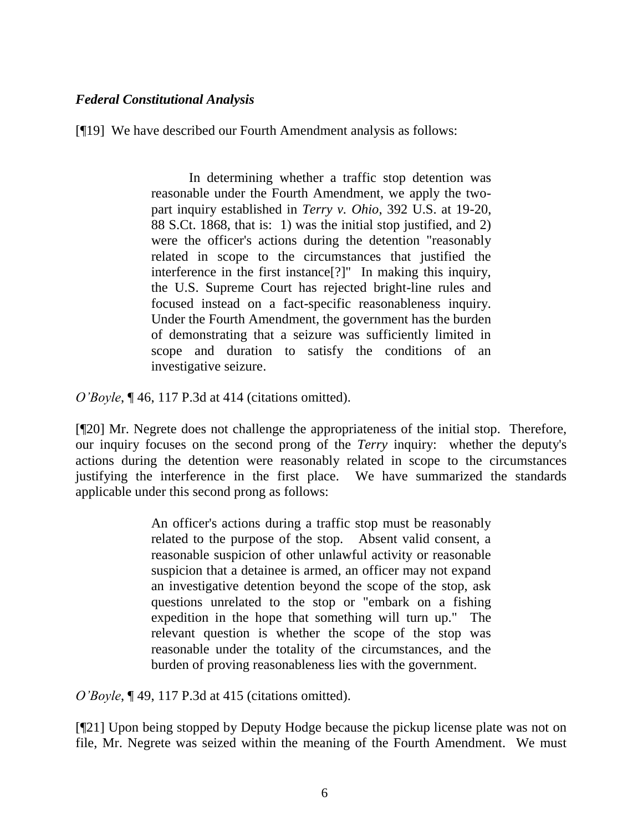# *Federal Constitutional Analysis*

[¶19] We have described our Fourth Amendment analysis as follows:

In determining whether a traffic stop detention was reasonable under the Fourth Amendment, we apply the twopart inquiry established in *Terry v. Ohio*, 392 U.S. at 19-20, 88 S.Ct. 1868, that is: 1) was the initial stop justified, and 2) were the officer's actions during the detention "reasonably related in scope to the circumstances that justified the interference in the first instance[?]" In making this inquiry, the U.S. Supreme Court has rejected bright-line rules and focused instead on a fact-specific reasonableness inquiry. Under the Fourth Amendment, the government has the burden of demonstrating that a seizure was sufficiently limited in scope and duration to satisfy the conditions of an investigative seizure.

*O'Boyle*, ¶ 46, 117 P.3d at 414 (citations omitted).

[¶20] Mr. Negrete does not challenge the appropriateness of the initial stop. Therefore, our inquiry focuses on the second prong of the *Terry* inquiry: whether the deputy's actions during the detention were reasonably related in scope to the circumstances justifying the interference in the first place. We have summarized the standards applicable under this second prong as follows:

> An officer's actions during a traffic stop must be reasonably related to the purpose of the stop. Absent valid consent, a reasonable suspicion of other unlawful activity or reasonable suspicion that a detainee is armed, an officer may not expand an investigative detention beyond the scope of the stop, ask questions unrelated to the stop or "embark on a fishing expedition in the hope that something will turn up." The relevant question is whether the scope of the stop was reasonable under the totality of the circumstances, and the burden of proving reasonableness lies with the government.

*O'Boyle*, ¶ 49, 117 P.3d at 415 (citations omitted).

[¶21] Upon being stopped by Deputy Hodge because the pickup license plate was not on file, Mr. Negrete was seized within the meaning of the Fourth Amendment. We must